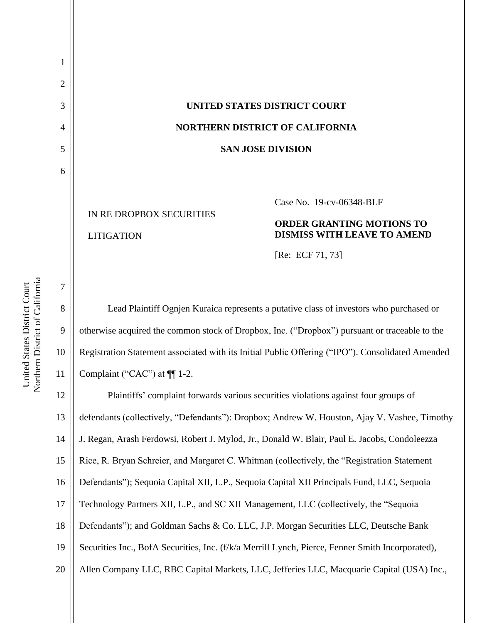# 3 **UNITED STATES DISTRICT COURT** 4 **NORTHERN DISTRICT OF CALIFORNIA** 5 **SAN JOSE DIVISION**

IN RE DROPBOX SECURITIES LITIGATION

#### Case No. [19-cv-06348-BLF](https://ecf.cand.uscourts.gov/cgi-bin/DktRpt.pl?349300)

#### **ORDER GRANTING MOTIONS TO DISMISS WITH LEAVE TO AMEND**

[Re: ECF 71, 73]

 Lead Plaintiff Ognjen Kuraica represents a putative class of investors who purchased or 9 otherwise acquired the common stock of Dropbox, Inc. ("Dropbox") pursuant or traceable to the Registration Statement associated with its Initial Public Offering ("IPO"). Consolidated Amended Complaint ("CAC") at ¶¶ 1-2.

 Plaintiffs' complaint forwards various securities violations against four groups of defendants (collectively, "Defendants"): Dropbox; Andrew W. Houston, Ajay V. Vashee, Timothy J. Regan, Arash Ferdowsi, Robert J. Mylod, Jr., Donald W. Blair, Paul E. Jacobs, Condoleezza Rice, R. Bryan Schreier, and Margaret C. Whitman (collectively, the "Registration Statement Defendants"); Sequoia Capital XII, L.P., Sequoia Capital XII Principals Fund, LLC, Sequoia Technology Partners XII, L.P., and SC XII Management, LLC (collectively, the "Sequoia 18 Defendants"); and Goldman Sachs & Co. LLC, J.P. Morgan Securities LLC, Deutsche Bank Securities Inc., BofA Securities, Inc. (f/k/a Merrill Lynch, Pierce, Fenner Smith Incorporated), 20 || Allen Company LLC, RBC Capital Markets, LLC, Jefferies LLC, Macquarie Capital (USA) Inc.,

1

2

6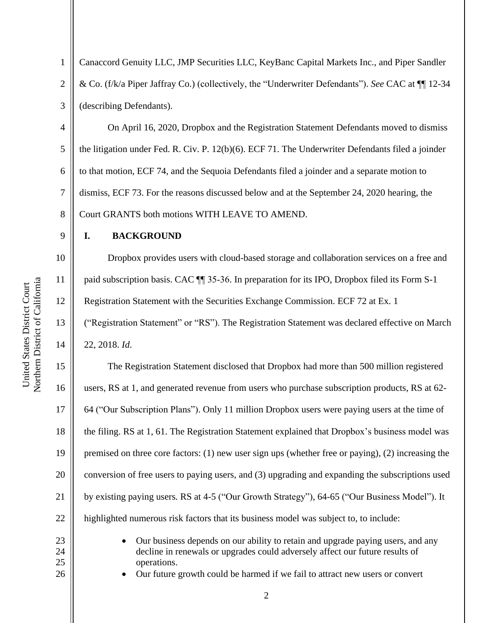1 Canaccord Genuity LLC, JMP Securities LLC, KeyBanc Capital Markets Inc., and Piper Sandler 2 & Co. (f/k/a Piper Jaffray Co.) (collectively, the "Underwriter Defendants"). *See* CAC at ¶¶ 12-34 3 (describing Defendants).

4 Con April 16, 2020, Dropbox and the Registration Statement Defendants moved to dismiss 5  $\parallel$  the litigation under Fed. R. Civ. P. 12(b)(6). ECF 71. The Underwriter Defendants filed a joinder 6 | to that motion, ECF 74, and the Sequoia Defendants filed a joinder and a separate motion to 7 dismiss, ECF 73. For the reasons discussed below and at the September 24, 2020 hearing, the 8 Court GRANTS both motions WITH LEAVE TO AMEND.

9 **I. BACKGROUND**

10 || Dropbox provides users with cloud-based storage and collaboration services on a free and 11 | paid subscription basis. CAC  $\P$  35-36. In preparation for its IPO, Dropbox filed its Form S-1 12 **Registration Statement with the Securities Exchange Commission. ECF 72 at Ex. 1** 13 ("Registration Statement" or "RS"). The Registration Statement was declared effective on March 14 22, 2018. *Id*.

 The Registration Statement disclosed that Dropbox had more than 500 million registered users, RS at 1, and generated revenue from users who purchase subscription products, RS at 62- 17 | 64 ("Our Subscription Plans"). Only 11 million Dropbox users were paying users at the time of the filing. RS at 1, 61. The Registration Statement explained that Dropbox's business model was premised on three core factors: (1) new user sign ups (whether free or paying), (2) increasing the 20 conversion of free users to paying users, and (3) upgrading and expanding the subscriptions used **by existing paying users. RS at 4-5 ("Our Growth Strategy"), 64-65 ("Our Business Model").** It 22 | highlighted numerous risk factors that its business model was subject to, to include:

- 
- 23 || **•** Our business depends on our ability to retain and upgrade paying users, and any 24 || 25 || operations.
- 26  **Our future growth could be harmed if we fail to attract new users or convert**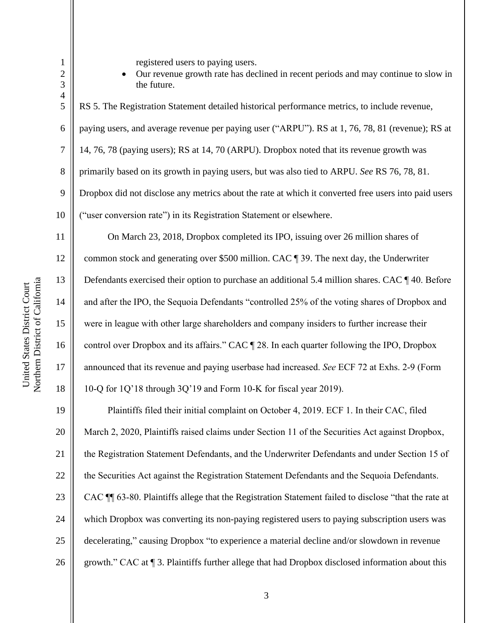1 | registered users to paying users.

2 || 3 **the future.** 

 RS 5. The Registration Statement detailed historical performance metrics, to include revenue, paying users, and average revenue per paying user ("ARPU"). RS at 1, 76, 78, 81 (revenue); RS at 7 | 14, 76, 78 (paying users); RS at 14, 70 (ARPU). Dropbox noted that its revenue growth was 8 primarily based on its growth in paying users, but was also tied to ARPU. *See* RS 76, 78, 81. Dropbox did not disclose any metrics about the rate at which it converted free users into paid users ("user conversion rate") in its Registration Statement or elsewhere.

11 On March 23, 2018, Dropbox completed its IPO, issuing over 26 million shares of 12 common stock and generating over \$500 million. CAC ¶ 39. The next day, the Underwriter 13 Defendants exercised their option to purchase an additional 5.4 million shares. CAC ¶ 40. Before 14 and after the IPO, the Sequoia Defendants "controlled 25% of the voting shares of Dropbox and 15 were in league with other large shareholders and company insiders to further increase their 16 control over Dropbox and its affairs." CAC [28. In each quarter following the IPO, Dropbox 17 announced that its revenue and paying userbase had increased. *See* ECF 72 at Exhs. 2-9 (Form 18  $\parallel$  10-Q for 1Q'18 through 3Q'19 and Form 10-K for fiscal year 2019).

19 **Plaintiffs filed their initial complaint on October 4, 2019. ECF 1. In their CAC, filed** 20 March 2, 2020, Plaintiffs raised claims under Section 11 of the Securities Act against Dropbox, 21 | the Registration Statement Defendants, and the Underwriter Defendants and under Section 15 of 22 | the Securities Act against the Registration Statement Defendants and the Sequoia Defendants. 23 | CAC ¶¶ 63-80. Plaintiffs allege that the Registration Statement failed to disclose "that the rate at 24 which Dropbox was converting its non-paying registered users to paying subscription users was 25 decelerating," causing Dropbox "to experience a material decline and/or slowdown in revenue 26 growth." CAC at  $\P$  3. Plaintiffs further allege that had Dropbox disclosed information about this

4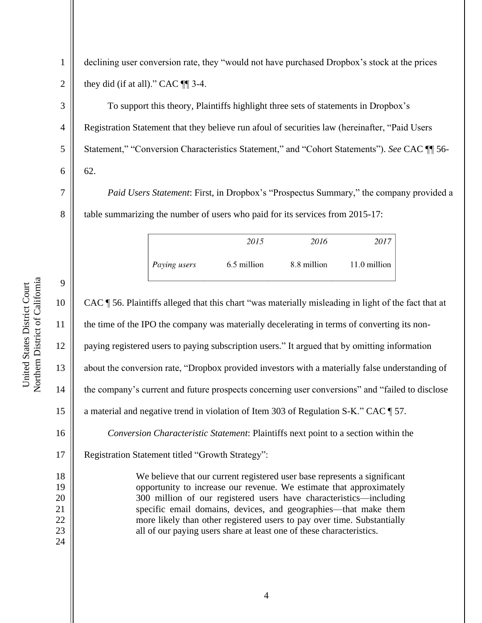Northern District of California Northern District of California United States District Court United States District Court

9

1 declining user conversion rate, they "would not have purchased Dropbox's stock at the prices 2  $\parallel$  they did (if at all)." CAC  $\P$  3-4.

3 To support this theory, Plaintiffs highlight three sets of statements in Dropbox's 4 Registration Statement that they believe run afoul of securities law (hereinafter, "Paid Users 5 Statement," "Conversion Characteristics Statement," and "Cohort Statements"). *See* CAC ¶ 56- $6 \parallel 62.$ 

7 *Paid Users Statement*: First, in Dropbox's "Prospectus Summary," the company provided a 8 | table summarizing the number of users who paid for its services from 2015-17:

|              | 2015        | 2016        | 2017         |
|--------------|-------------|-------------|--------------|
| Paying users | 6.5 million | 8.8 million | 11.0 million |

10 CAC ¶ 56. Plaintiffs alleged that this chart "was materially misleading in light of the fact that at 11 the time of the IPO the company was materially decelerating in terms of converting its non-12 paying registered users to paying subscription users." It argued that by omitting information 13 about the conversion rate, "Dropbox provided investors with a materially false understanding of 14 the company's current and future prospects concerning user conversions" and "failed to disclose 15 a material and negative trend in violation of Item 303 of Regulation S-K." CAC  $\parallel$  57. 16 *Conversion Characteristic Statement*: Plaintiffs next point to a section within the 17 | Registration Statement titled "Growth Strategy": 18 We believe that our current registered user base represents a significant 19 || opportunity to increase our revenue. We estimate that approximately 20 || 300 million of our registered users have characteristics—including 21 || specific email domains, devices, and geographies—that make them 22 || more likely than other registered users to pay over time. Substantially 23 || all of our paying users share at least one of these characteristics. 24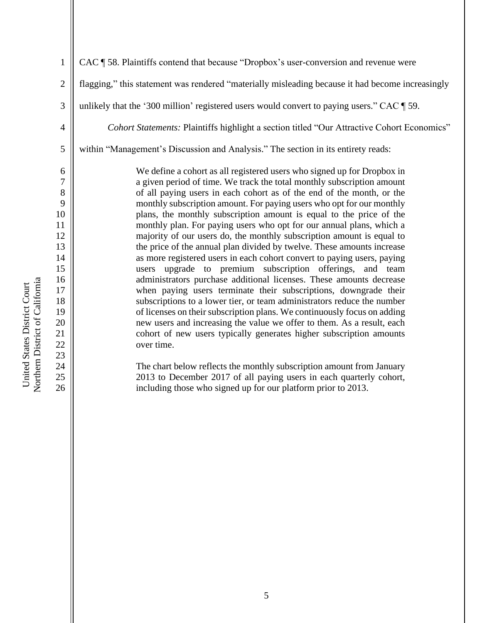Northern District of California Northern District of California United States District Court United States District Court

23

1 CAC ¶ 58. Plaintiffs contend that because "Dropbox's user-conversion and revenue were 2 | flagging," this statement was rendered "materially misleading because it had become increasingly 3 || unlikely that the '300 million' registered users would convert to paying users." CAC  $\parallel$  59. 4 *Cohort Statements:* Plaintiffs highlight a section titled "Our Attractive Cohort Economics" 5 Weithin "Management's Discussion and Analysis." The section in its entirety reads: 6 We define a cohort as all registered users who signed up for Dropbox in 7 || a given period of time. We track the total monthly subscription amount 8 || 9 || monthly subscription amount. For paying users who opt for our monthly 10 || 11 || monthly plan. For paying users who opt for our annual plans, which a 12 majority of our users do, the monthly subscription amount is equal to 13 the price of the annual plan divided by twelve. These amounts increase 14 as more registered users in each cohort convert to paying users, paying 15 users upgrade to premium subscription offerings, and team 16 **administrators purchase additional licenses.** These amounts decrease 17 When paying users terminate their subscriptions, downgrade their 18 || 19 || of licenses on their subscription plans. We continuously focus on adding 20 || new users and increasing the value we offer to them. As a result, each 21 | cohort of new users typically generates higher subscription amounts 22 || over time.

24 ||<br>The chart below reflects the monthly subscription amount from January 25 || 2013 to December 2017 of all paying users in each quarterly cohort, 26 including those who signed up for our platform prior to 2013.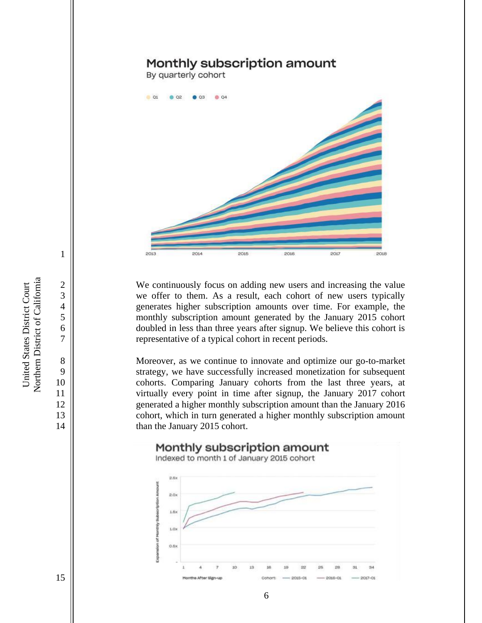# Monthly subscription amount

By quarterly cohort



2<br>
2<br>
2<br>
We continuously focus on adding new users and increasing the value<br>
we offer to them. As a result, each cohort of new users typically we offer to them. As a result, each cohort of new users typically 4 generates higher subscription amounts over time. For example, the 5 monthly subscription amount generated by the January 2015 cohort 6 doubled in less than three years after signup. We believe this cohort is 7 || representative of a typical cohort in recent periods.

8 Moreover, as we continue to innovate and optimize our go-to-market 9 Strategy, we have successfully increased monetization for subsequent 10 || cohorts. Comparing January cohorts from the last three years, at 11 || virtually every point in time after signup, the January 2017 cohort 12 9 generated a higher monthly subscription amount than the January 2016 13 **cohort**, which in turn generated a higher monthly subscription amount 14 **than the January 2015 cohort.** 



6

Northern District of California Northern District of California United States District Court United States District Court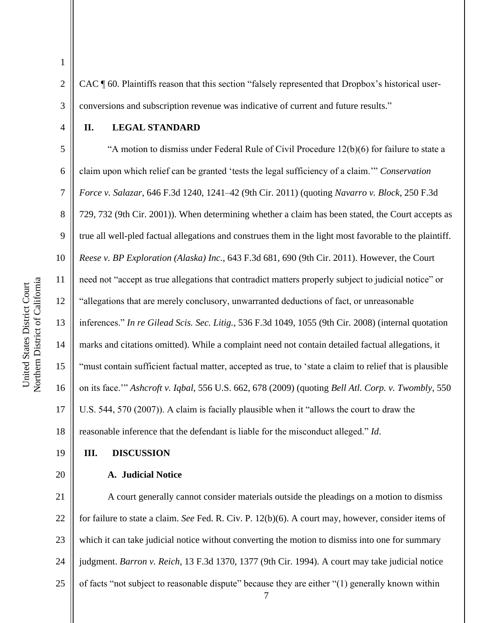2  $\parallel$  CAC  $\P$  60. Plaintiffs reason that this section "falsely represented that Dropbox's historical user-3 | conversions and subscription revenue was indicative of current and future results."

#### 4 **II. LEGAL STANDARD**

 $5 \parallel$  "A motion to dismiss under Federal Rule of Civil Procedure 12(b)(6) for failure to state a claim upon which relief can be granted 'tests the legal sufficiency of a claim.'" *Conservation Force v. Salazar*, 646 F.3d 1240, 1241–42 (9th Cir. 2011) (quoting *Navarro v. Block*, 250 F.3d 8 | 729, 732 (9th Cir. 2001)). When determining whether a claim has been stated, the Court accepts as true all well-pled factual allegations and construes them in the light most favorable to the plaintiff. *Reese v. BP Exploration (Alaska) Inc.*, 643 F.3d 681, 690 (9th Cir. 2011). However, the Court need not "accept as true allegations that contradict matters properly subject to judicial notice" or "allegations that are merely conclusory, unwarranted deductions of fact, or unreasonable inferences." *In re Gilead Scis. Sec. Litig.*, 536 F.3d 1049, 1055 (9th Cir. 2008) (internal quotation 14 marks and citations omitted). While a complaint need not contain detailed factual allegations, it "must contain sufficient factual matter, accepted as true, to 'state a claim to relief that is plausible 16 \| on its face." *Ashcroft v. Iqbal*, 556 U.S. 662, 678 (2009) (quoting *Bell Atl. Corp. v. Twombly*, 550 U.S. 544, 570 (2007)). A claim is facially plausible when it "allows the court to draw the 18 The set of the inference that the defendant is liable for the misconduct alleged." *Id*.

#### 19 **III. DISCUSSION**

20 **A. Judicial Notice**

7 21 | A court generally cannot consider materials outside the pleadings on a motion to dismiss 22 for failure to state a claim. *See* Fed. R. Civ. P. 12(b)(6). A court may, however, consider items of 23 || which it can take judicial notice without converting the motion to dismiss into one for summary 24 judgment. *Barron v. Reich*, 13 F.3d 1370, 1377 (9th Cir. 1994). A court may take judicial notice 25  $\parallel$  of facts "not subject to reasonable dispute" because they are either "(1) generally known within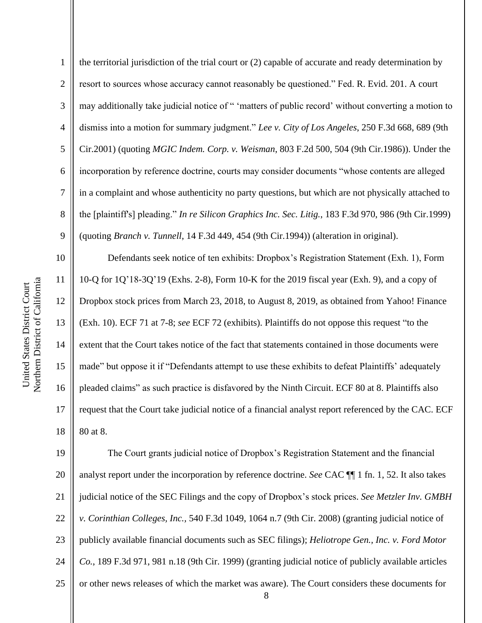the territorial jurisdiction of the trial court or (2) capable of accurate and ready determination by 2 | resort to sources whose accuracy cannot reasonably be questioned." Fed. R. Evid. 201. A court 3 may additionally take judicial notice of " 'matters of public record' without converting a motion to dismiss into a motion for summary judgment." *Lee v. City of Los Angeles*, 250 F.3d 668, 689 (9th Cir.2001) (quoting *MGIC Indem. Corp. v. Weisman*, 803 F.2d 500, 504 (9th Cir.1986)). Under the incorporation by reference doctrine, courts may consider documents "whose contents are alleged in a complaint and whose authenticity no party questions, but which are not physically attached to the [plaintiff's] pleading." *In re Silicon Graphics Inc. Sec. Litig.*, 183 F.3d 970, 986 (9th Cir.1999) (quoting *Branch v. Tunnell*, 14 F.3d 449, 454 (9th Cir.1994)) (alteration in original).

 Defendants seek notice of ten exhibits: Dropbox's Registration Statement (Exh. 1), Form 10-Q for 1Q'18-3Q'19 (Exhs. 2-8), Form 10-K for the 2019 fiscal year (Exh. 9), and a copy of Dropbox stock prices from March 23, 2018, to August 8, 2019, as obtained from Yahoo! Finance (Exh. 10). ECF 71 at 7-8; *see* ECF 72 (exhibits). Plaintiffs do not oppose this request "to the 14 Square that the Court takes notice of the fact that statements contained in those documents were made" but oppose it if "Defendants attempt to use these exhibits to defeat Plaintiffs' adequately 16 || pleaded claims" as such practice is disfavored by the Ninth Circuit. ECF 80 at 8. Plaintiffs also 17 || request that the Court take judicial notice of a financial analyst report referenced by the CAC. ECF  $\parallel$  80 at 8.

19 The Court grants judicial notice of Dropbox's Registration Statement and the financial 20 analyst report under the incorporation by reference doctrine. *See* CAC ¶ 1 fn. 1, 52. It also takes 21 judicial notice of the SEC Filings and the copy of Dropbox's stock prices. *See Metzler Inv. GMBH*  22 *v. Corinthian Colleges, Inc.,* 540 F.3d 1049, 1064 n.7 (9th Cir. 2008) (granting judicial notice of 23 || publicly available financial documents such as SEC filings); *Heliotrope Gen., Inc. v. Ford Motor* 24 *Co.*, 189 F.3d 971, 981 n.18 (9th Cir. 1999) (granting judicial notice of publicly available articles 25 | or other news releases of which the market was aware). The Court considers these documents for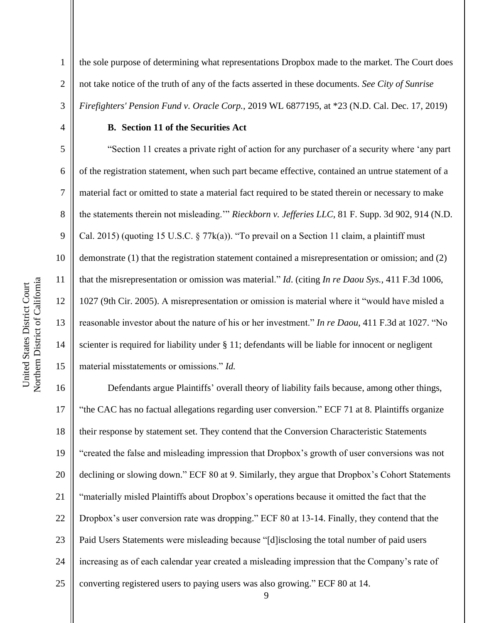Northern District of California Northern District of California United States District Court United States District Court

1 the sole purpose of determining what representations Dropbox made to the market. The Court does 2 not take notice of the truth of any of the facts asserted in these documents. *See City of Sunrise*  3 *Firefighters' Pension Fund v. Oracle Corp.*, 2019 WL 6877195, at \*23 (N.D. Cal. Dec. 17, 2019)

#### 4 **B. Section 11 of the Securities Act**

 "Section 11 creates a private right of action for any purchaser of a security where 'any part 6 | of the registration statement, when such part became effective, contained an untrue statement of a material fact or omitted to state a material fact required to be stated therein or necessary to make the statements therein not misleading.'" *Rieckborn v. Jefferies LLC*, 81 F. Supp. 3d 902, 914 (N.D.  $\parallel$  Cal. 2015) (quoting 15 U.S.C. § 77 $k(a)$ ). "To prevail on a Section 11 claim, a plaintiff must demonstrate (1) that the registration statement contained a misrepresentation or omission; and (2) that the misrepresentation or omission was material." *Id*. (citing *In re Daou Sys.*, 411 F.3d 1006, 1027 (9th Cir. 2005). A misrepresentation or omission is material where it "would have misled a reasonable investor about the nature of his or her investment." *In re Daou*, 411 F.3d at 1027. "No 14 Scienter is required for liability under § 11; defendants will be liable for innocent or negligent material misstatements or omissions." *Id.*

16 Defendants argue Plaintiffs' overall theory of liability fails because, among other things, 17 || "the CAC has no factual allegations regarding user conversion." ECF 71 at 8. Plaintiffs organize 18  $\parallel$  their response by statement set. They contend that the Conversion Characteristic Statements 19 "created the false and misleading impression that Dropbox's growth of user conversions was not 20 declining or slowing down." ECF 80 at 9. Similarly, they argue that Dropbox's Cohort Statements 21 "materially misled Plaintiffs about Dropbox's operations because it omitted the fact that the 22 | Dropbox's user conversion rate was dropping." ECF 80 at 13-14. Finally, they contend that the 23 | Paid Users Statements were misleading because "[d] isclosing the total number of paid users 24 increasing as of each calendar year created a misleading impression that the Company's rate of 25  $\parallel$  converting registered users to paying users was also growing." ECF 80 at 14.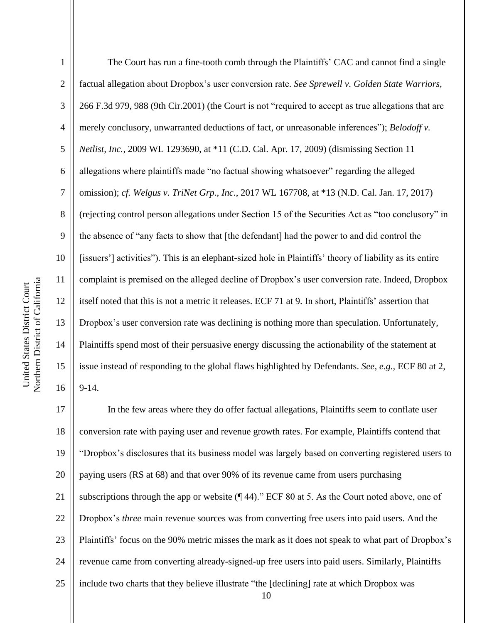| $\mathbf{1}$   | The Court has run a fine-tooth comb through the Plaintiffs' CAC and cannot find a single                 |
|----------------|----------------------------------------------------------------------------------------------------------|
| $\mathbf{2}$   | factual allegation about Dropbox's user conversion rate. See Sprewell v. Golden State Warriors,          |
| 3              | 266 F.3d 979, 988 (9th Cir.2001) (the Court is not "required to accept as true allegations that are      |
| $\overline{4}$ | merely conclusory, unwarranted deductions of fact, or unreasonable inferences"); Belodoff v.             |
| 5              | Netlist, Inc., 2009 WL 1293690, at *11 (C.D. Cal. Apr. 17, 2009) (dismissing Section 11                  |
| 6              | allegations where plaintiffs made "no factual showing whatsoever" regarding the alleged                  |
| $\tau$         | omission); cf. Welgus v. TriNet Grp., Inc., 2017 WL 167708, at *13 (N.D. Cal. Jan. 17, 2017)             |
| 8              | (rejecting control person allegations under Section 15 of the Securities Act as "too conclusory" in      |
| 9              | the absence of "any facts to show that [the defendant] had the power to and did control the              |
| 10             | [issuers'] activities"). This is an elephant-sized hole in Plaintiffs' theory of liability as its entire |
| 11             | complaint is premised on the alleged decline of Dropbox's user conversion rate. Indeed, Dropbox          |
| 12             | itself noted that this is not a metric it releases. ECF 71 at 9. In short, Plaintiffs' assertion that    |
| 13             | Dropbox's user conversion rate was declining is nothing more than speculation. Unfortunately,            |
| 14             | Plaintiffs spend most of their persuasive energy discussing the actionability of the statement at        |
| 15             | issue instead of responding to the global flaws highlighted by Defendants. See, e.g., ECF 80 at 2,       |
| 16             | $9-14.$                                                                                                  |
| 17             | In the few areas where they do offer factual allegations, Plaintiffs seem to conflate user               |

18 | conversion rate with paying user and revenue growth rates. For example, Plaintiffs contend that "Dropbox's disclosures that its business model was largely based on converting registered users to  $\parallel$  paying users (RS at 68) and that over 90% of its revenue came from users purchasing  $\parallel$  subscriptions through the app or website ( $\parallel$  44)." ECF 80 at 5. As the Court noted above, one of Dropbox's *three* main revenue sources was from converting free users into paid users. And the Plaintiffs' focus on the 90% metric misses the mark as it does not speak to what part of Dropbox's 24 | revenue came from converting already-signed-up free users into paid users. Similarly, Plaintiffs 25 | include two charts that they believe illustrate "the [declining] rate at which Dropbox was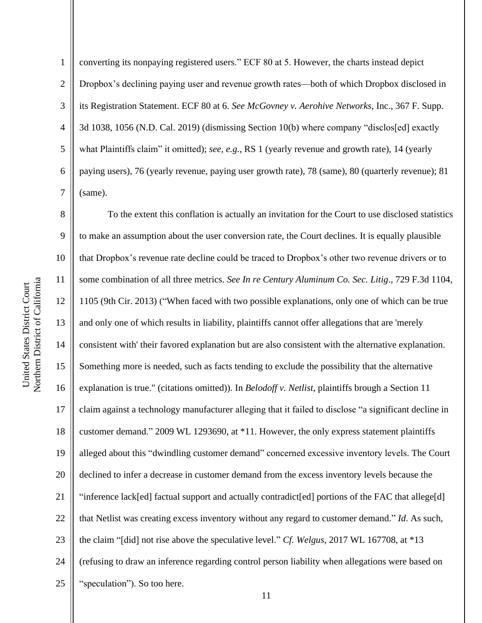converting its nonpaying registered users." ECF 80 at 5. However, the charts instead depict 2 | Dropbox's declining paying user and revenue growth rates—both of which Dropbox disclosed in its Registration Statement. ECF 80 at 6. *See McGovney v. Aerohive Networks*, Inc., 367 F. Supp.  $\parallel$  3d 1038, 1056 (N.D. Cal. 2019) (dismissing Section 10(b) where company "disclos[ed] exactly what Plaintiffs claim" it omitted); *see, e.g.*, RS 1 (yearly revenue and growth rate), 14 (yearly paying users), 76 (yearly revenue, paying user growth rate), 78 (same), 80 (quarterly revenue); 81  $7 \parallel$  (same).

8 To the extent this conflation is actually an invitation for the Court to use disclosed statistics 9 to make an assumption about the user conversion rate, the Court declines. It is equally plausible 10  $\parallel$  that Dropbox's revenue rate decline could be traced to Dropbox's other two revenue drivers or to 11 some combination of all three metrics. *See In re Century Aluminum Co. Sec. Litig*., 729 F.3d 1104, 12 1105 (9th Cir. 2013) ("When faced with two possible explanations, only one of which can be true 13 and only one of which results in liability, plaintiffs cannot offer allegations that are 'merely 14 consistent with' their favored explanation but are also consistent with the alternative explanation. 15 Something more is needed, such as facts tending to exclude the possibility that the alternative 16 explanation is true." (citations omitted))*.* In *Belodoff v. Netlist*, plaintiffs brough a Section 11 17 || claim against a technology manufacturer alleging that it failed to disclose "a significant decline in 18 | customer demand." 2009 WL 1293690, at \*11. However, the only express statement plaintiffs 19 alleged about this "dwindling customer demand" concerned excessive inventory levels. The Court 20 declined to infer a decrease in customer demand from the excess inventory levels because the 21 "inference lack[ed] factual support and actually contradict[ed] portions of the FAC that allege[d] 22 | that Netlist was creating excess inventory without any regard to customer demand." *Id*. As such, 23 the claim "[did] not rise above the speculative level." *Cf. Welgus*, 2017 WL 167708, at \*13 24 | (refusing to draw an inference regarding control person liability when allegations were based on 25 || "speculation"). So too here.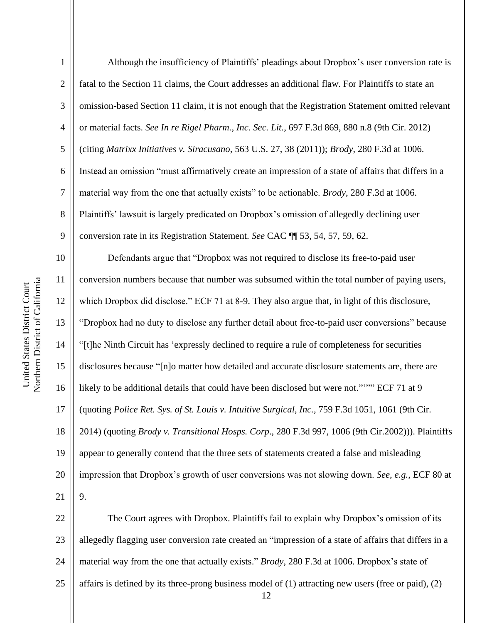Although the insufficiency of Plaintiffs' pleadings about Dropbox's user conversion rate is 2 | fatal to the Section 11 claims, the Court addresses an additional flaw. For Plaintiffs to state an 3 | omission-based Section 11 claim, it is not enough that the Registration Statement omitted relevant or material facts. *See In re Rigel Pharm., Inc. Sec. Lit.*, 697 F.3d 869, 880 n.8 (9th Cir. 2012) (citing *Matrixx Initiatives v. Siracusano*, 563 U.S. 27, 38 (2011)); *Brody*, 280 F.3d at 1006. Instead an omission "must affirmatively create an impression of a state of affairs that differs in a material way from the one that actually exists" to be actionable. *Brody*, 280 F.3d at 1006. 8 | Plaintiffs' lawsuit is largely predicated on Dropbox's omission of allegedly declining user conversion rate in its Registration Statement. *See* CAC ¶¶ 53, 54, 57, 59, 62. Defendants argue that "Dropbox was not required to disclose its free-to-paid user conversion numbers because that number was subsumed within the total number of paying users, which Dropbox did disclose." ECF 71 at 8-9. They also argue that, in light of this disclosure, "Dropbox had no duty to disclose any further detail about free-to-paid user conversions" because "[t]he Ninth Circuit has 'expressly declined to require a rule of completeness for securities disclosures because "[n]o matter how detailed and accurate disclosure statements are, there are likely to be additional details that could have been disclosed but were not."'"" ECF 71 at 9 (quoting *Police Ret. Sys. of St. Louis v. Intuitive Surgical, Inc.,* 759 F.3d 1051, 1061 (9th Cir. 2014) (quoting *Brody v. Transitional Hosps. Corp*., 280 F.3d 997, 1006 (9th Cir.2002))). Plaintiffs appear to generally contend that the three sets of statements created a false and misleading impression that Dropbox's growth of user conversions was not slowing down. *See, e.g.*, ECF 80 at  $21 \parallel 9$ . 22 | The Court agrees with Dropbox. Plaintiffs fail to explain why Dropbox's omission of its 23 || allegedly flagging user conversion rate created an "impression of a state of affairs that differs in a material way from the one that actually exists." *Brody*, 280 F.3d at 1006. Dropbox's state of

25  $\parallel$  affairs is defined by its three-prong business model of (1) attracting new users (free or paid), (2)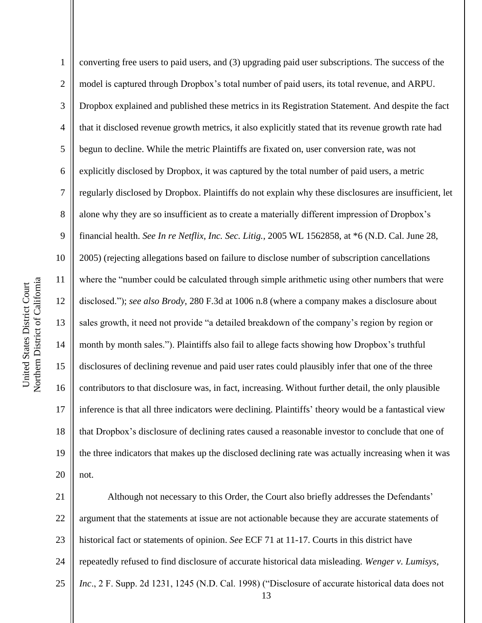converting free users to paid users, and (3) upgrading paid user subscriptions. The success of the 2 | model is captured through Dropbox's total number of paid users, its total revenue, and ARPU. Dropbox explained and published these metrics in its Registration Statement. And despite the fact 4 | that it disclosed revenue growth metrics, it also explicitly stated that its revenue growth rate had begun to decline. While the metric Plaintiffs are fixated on, user conversion rate, was not  $6 \parallel$  explicitly disclosed by Dropbox, it was captured by the total number of paid users, a metric regularly disclosed by Dropbox. Plaintiffs do not explain why these disclosures are insufficient, let 8 alone why they are so insufficient as to create a materially different impression of Dropbox's financial health. *See In re Netflix, Inc. Sec. Litig.*, 2005 WL 1562858, at \*6 (N.D. Cal. June 28, 2005) (rejecting allegations based on failure to disclose number of subscription cancellations where the "number could be calculated through simple arithmetic using other numbers that were disclosed."); *see also Brody*, 280 F.3d at 1006 n.8 (where a company makes a disclosure about sales growth, it need not provide "a detailed breakdown of the company's region by region or month by month sales."). Plaintiffs also fail to allege facts showing how Dropbox's truthful disclosures of declining revenue and paid user rates could plausibly infer that one of the three 16 contributors to that disclosure was, in fact, increasing. Without further detail, the only plausible inference is that all three indicators were declining. Plaintiffs' theory would be a fantastical view that Dropbox's disclosure of declining rates caused a reasonable investor to conclude that one of the three indicators that makes up the disclosed declining rate was actually increasing when it was | not.

 Although not necessary to this Order, the Court also briefly addresses the Defendants' 22 || argument that the statements at issue are not actionable because they are accurate statements of historical fact or statements of opinion. *See* ECF 71 at 11-17. Courts in this district have repeatedly refused to find disclosure of accurate historical data misleading. *Wenger v. Lumisys, Inc*., 2 F. Supp. 2d 1231, 1245 (N.D. Cal. 1998) ("Disclosure of accurate historical data does not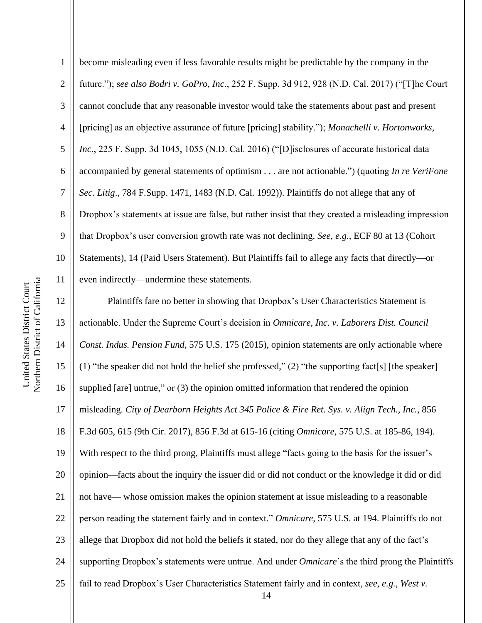become misleading even if less favorable results might be predictable by the company in the future."); s*ee also Bodri v. GoPro, Inc*., 252 F. Supp. 3d 912, 928 (N.D. Cal. 2017) ("[T]he Court 3 cannot conclude that any reasonable investor would take the statements about past and present [pricing] as an objective assurance of future [pricing] stability."); *Monachelli v. Hortonworks, Inc*., 225 F. Supp. 3d 1045, 1055 (N.D. Cal. 2016) ("[D]isclosures of accurate historical data accompanied by general statements of optimism . . . are not actionable.") (quoting *In re VeriFone Sec. Litig*., 784 F.Supp. 1471, 1483 (N.D. Cal. 1992)). Plaintiffs do not allege that any of Dropbox's statements at issue are false, but rather insist that they created a misleading impression that Dropbox's user conversion growth rate was not declining. *See, e.g.,* ECF 80 at 13 (Cohort 10 Statements), 14 (Paid Users Statement). But Plaintiffs fail to allege any facts that directly—or 11 | even indirectly—undermine these statements. 12 | Plaintiffs fare no better in showing that Dropbox's User Characteristics Statement is

13 actionable. Under the Supreme Court's decision in *Omnicare, Inc. v. Laborers Dist. Council*  14 *Const. Indus. Pension Fund*, 575 U.S. 175 (2015), opinion statements are only actionable where 15  $\parallel$  (1) "the speaker did not hold the belief she professed," (2) "the supporting fact [s] [the speaker] 16 supplied [are] untrue," or  $(3)$  the opinion omitted information that rendered the opinion 17 misleading. *City of Dearborn Heights Act 345 Police & Fire Ret. Sys. v. Align Tech., Inc.*, 856 18 F.3d 605, 615 (9th Cir. 2017), 856 F.3d at 615-16 (citing *Omnicare*, 575 U.S. at 185-86, 194). 19 With respect to the third prong, Plaintiffs must allege "facts going to the basis for the issuer's 20 || opinion—facts about the inquiry the issuer did or did not conduct or the knowledge it did or did 21 not have— whose omission makes the opinion statement at issue misleading to a reasonable 22 | person reading the statement fairly and in context." *Omnicare*, 575 U.S. at 194. Plaintiffs do not 23 | allege that Dropbox did not hold the beliefs it stated, nor do they allege that any of the fact's 24 | supporting Dropbox's statements were untrue. And under *Omnicare*'s the third prong the Plaintiffs 25 fiail to read Dropbox's User Characteristics Statement fairly and in context, *see, e.g., West v.*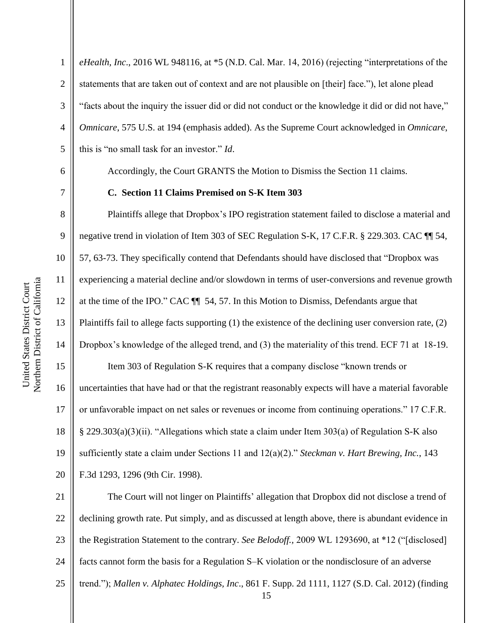*eHealth, Inc*., 2016 WL 948116, at \*5 (N.D. Cal. Mar. 14, 2016) (rejecting "interpretations of the  $\parallel$  statements that are taken out of context and are not plausible on [their] face."), let alone plead "facts about the inquiry the issuer did or did not conduct or the knowledge it did or did not have," *Omnicare*, 575 U.S. at 194 (emphasis added). As the Supreme Court acknowledged in *Omnicare*, this is "no small task for an investor." *Id*.

6 Accordingly, the Court GRANTS the Motion to Dismiss the Section 11 claims.

20 F.3d 1293, 1296 (9th Cir. 1998).

#### 7 **C. Section 11 Claims Premised on S-K Item 303**

 Plaintiffs allege that Dropbox's IPO registration statement failed to disclose a material and negative trend in violation of Item 303 of SEC Regulation S-K, 17 C.F.R. § 229.303. CAC ¶¶ 54, 57, 63-73. They specifically contend that Defendants should have disclosed that "Dropbox was experiencing a material decline and/or slowdown in terms of user-conversions and revenue growth 12 at the time of the IPO." CAC  $\P$  54, 57. In this Motion to Dismiss, Defendants argue that Plaintiffs fail to allege facts supporting (1) the existence of the declining user conversion rate, (2) Dropbox's knowledge of the alleged trend, and (3) the materiality of this trend. ECF 71 at 18-19. 15 | Item 303 of Regulation S-K requires that a company disclose "known trends or uncertainties that have had or that the registrant reasonably expects will have a material favorable 17 | or unfavorable impact on net sales or revenues or income from continuing operations." 17 C.F.R.  $\parallel$  § 229.303(a)(3)(ii). "Allegations which state a claim under Item 303(a) of Regulation S-K also sufficiently state a claim under Sections 11 and 12(a)(2)." *Steckman v. Hart Brewing, Inc.*, 143

21 The Court will not linger on Plaintiffs' allegation that Dropbox did not disclose a trend of 22 declining growth rate. Put simply, and as discussed at length above, there is abundant evidence in 23 the Registration Statement to the contrary. *See Belodoff.,* 2009 WL 1293690, at \*12 ("[disclosed] 24  $\parallel$  facts cannot form the basis for a Regulation S–K violation or the nondisclosure of an adverse 25 trend."); *Mallen v. Alphatec Holdings, Inc*., 861 F. Supp. 2d 1111, 1127 (S.D. Cal. 2012) (finding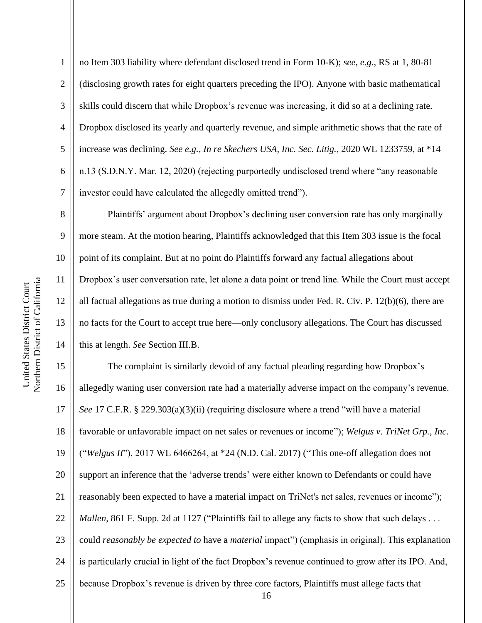no Item 303 liability where defendant disclosed trend in Form 10-K); *see, e.g.*, RS at 1, 80-81 2 (disclosing growth rates for eight quarters preceding the IPO). Anyone with basic mathematical 3 Sulphan is could discern that while Dropbox's revenue was increasing, it did so at a declining rate. Dropbox disclosed its yearly and quarterly revenue, and simple arithmetic shows that the rate of increase was declining. *See e.g., In re Skechers USA, Inc. Sec. Litig.*, 2020 WL 1233759, at \*14 n.13 (S.D.N.Y. Mar. 12, 2020) (rejecting purportedly undisclosed trend where "any reasonable investor could have calculated the allegedly omitted trend").

8 **Plaintiffs'** argument about Dropbox's declining user conversion rate has only marginally 9 more steam. At the motion hearing, Plaintiffs acknowledged that this Item 303 issue is the focal 10 | point of its complaint. But at no point do Plaintiffs forward any factual allegations about 11 Dropbox's user conversation rate, let alone a data point or trend line. While the Court must accept 12 all factual allegations as true during a motion to dismiss under Fed. R. Civ. P. 12(b)(6), there are 13 || no facts for the Court to accept true here—only conclusory allegations. The Court has discussed 14 **this at length.** *See* Section III.B.

 The complaint is similarly devoid of any factual pleading regarding how Dropbox's 16 allegedly waning user conversion rate had a materially adverse impact on the company's revenue. *See* 17 C.F.R. § 229.303(a)(3)(ii) (requiring disclosure where a trend "will have a material favorable or unfavorable impact on net sales or revenues or income"); *Welgus v. TriNet Grp., Inc.*  ("*Welgus II*"), 2017 WL 6466264, at \*24 (N.D. Cal. 2017) ("This one-off allegation does not 20 || support an inference that the 'adverse trends' were either known to Defendants or could have 21 | reasonably been expected to have a material impact on TriNet's net sales, revenues or income"); *Mallen*, 861 F. Supp. 2d at 1127 ("Plaintiffs fail to allege any facts to show that such delays . . . 23 | could *reasonably be expected to* have a *material* impact") (emphasis in original). This explanation is particularly crucial in light of the fact Dropbox's revenue continued to grow after its IPO. And, **b** because Dropbox's revenue is driven by three core factors, Plaintiffs must allege facts that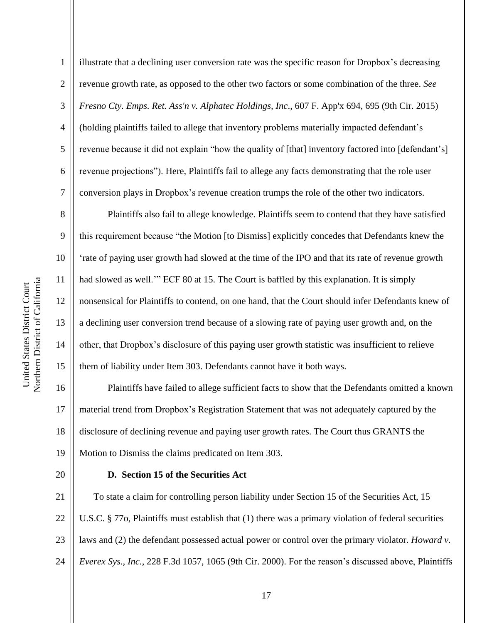illustrate that a declining user conversion rate was the specific reason for Dropbox's decreasing revenue growth rate, as opposed to the other two factors or some combination of the three. *See Fresno Cty. Emps. Ret. Ass'n v. Alphatec Holdings, Inc*., 607 F. App'x 694, 695 (9th Cir. 2015) (holding plaintiffs failed to allege that inventory problems materially impacted defendant's  $5 \parallel$  revenue because it did not explain "how the quality of [that] inventory factored into [defendant's]  $6 \parallel$  revenue projections"). Here, Plaintiffs fail to allege any facts demonstrating that the role user conversion plays in Dropbox's revenue creation trumps the role of the other two indicators.

 Plaintiffs also fail to allege knowledge. Plaintiffs seem to contend that they have satisfied this requirement because "the Motion [to Dismiss] explicitly concedes that Defendants knew the 'rate of paying user growth had slowed at the time of the IPO and that its rate of revenue growth had slowed as well.'" ECF 80 at 15. The Court is baffled by this explanation. It is simply nonsensical for Plaintiffs to contend, on one hand, that the Court should infer Defendants knew of a declining user conversion trend because of a slowing rate of paying user growth and, on the 14 | other, that Dropbox's disclosure of this paying user growth statistic was insufficient to relieve 15 | them of liability under Item 303. Defendants cannot have it both ways.

 Plaintiffs have failed to allege sufficient facts to show that the Defendants omitted a known material trend from Dropbox's Registration Statement that was not adequately captured by the disclosure of declining revenue and paying user growth rates. The Court thus GRANTS the Motion to Dismiss the claims predicated on Item 303.

## **D. Section 15 of the Securities Act**

**T** To state a claim for controlling person liability under Section 15 of the Securities Act, 15  $\parallel$  U.S.C. § 770, Plaintiffs must establish that (1) there was a primary violation of federal securities 23 | laws and (2) the defendant possessed actual power or control over the primary violator. *Howard v*. *Everex Sys., Inc.*, 228 F.3d 1057, 1065 (9th Cir. 2000). For the reason's discussed above, Plaintiffs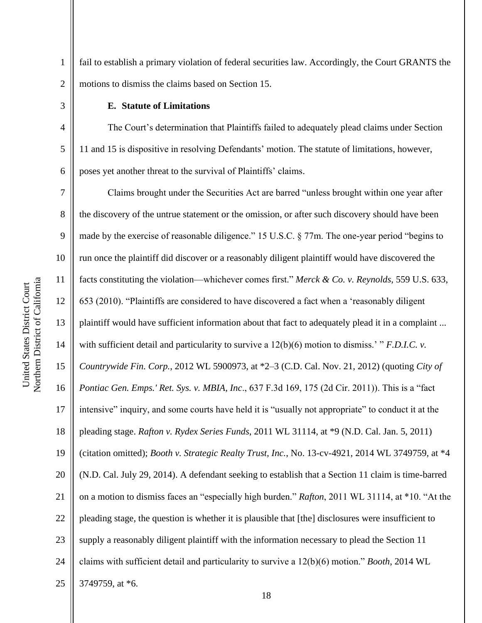1 fail to establish a primary violation of federal securities law. Accordingly, the Court GRANTS the 2 | motions to dismiss the claims based on Section 15.

#### 3 **E. Statute of Limitations**

4 The Court's determination that Plaintiffs failed to adequately plead claims under Section 5 11 and 15 is dispositive in resolving Defendants' motion. The statute of limitations, however,  $6 \parallel$  poses yet another threat to the survival of Plaintiffs' claims.

 Claims brought under the Securities Act are barred "unless brought within one year after 8 || the discovery of the untrue statement or the omission, or after such discovery should have been made by the exercise of reasonable diligence." 15 U.S.C. § 77m. The one-year period "begins to 10 || run once the plaintiff did discover or a reasonably diligent plaintiff would have discovered the facts constituting the violation—whichever comes first." *Merck & Co. v. Reynolds*, 559 U.S. 633, 653 (2010). "Plaintiffs are considered to have discovered a fact when a 'reasonably diligent plaintiff would have sufficient information about that fact to adequately plead it in a complaint ... with sufficient detail and particularity to survive a 12(b)(6) motion to dismiss.' " *F.D.I.C. v. Countrywide Fin. Corp.*, 2012 WL 5900973, at \*2–3 (C.D. Cal. Nov. 21, 2012) (quoting *City of Pontiac Gen. Emps.' Ret. Sys. v. MBIA, Inc*., 637 F.3d 169, 175 (2d Cir. 2011)). This is a "fact intensive" inquiry, and some courts have held it is "usually not appropriate" to conduct it at the pleading stage. *Rafton v. Rydex Series Funds*, 2011 WL 31114, at \*9 (N.D. Cal. Jan. 5, 2011) (citation omitted); *Booth v. Strategic Realty Trust, Inc.*, No. 13-cv-4921, 2014 WL 3749759, at \*4 (N.D. Cal. July 29, 2014). A defendant seeking to establish that a Section 11 claim is time-barred 21 | on a motion to dismiss faces an "especially high burden." *Rafton*, 2011 WL 31114, at \*10. "At the || pleading stage, the question is whether it is plausible that [the] disclosures were insufficient to || supply a reasonably diligent plaintiff with the information necessary to plead the Section 11  $\parallel$  claims with sufficient detail and particularity to survive a 12(b)(6) motion." *Booth*, 2014 WL  $\parallel$  3749759, at \*6.

Northern District of California Northern District of California United States District Court United States District Court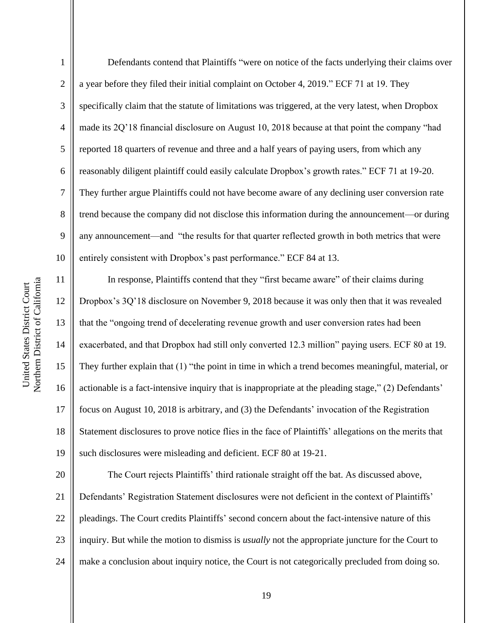1 Defendants contend that Plaintiffs "were on notice of the facts underlying their claims over 2 | a year before they filed their initial complaint on October 4, 2019." ECF 71 at 19. They 3 Superifically claim that the statute of limitations was triggered, at the very latest, when Dropbox 4 made its 2Q'18 financial disclosure on August 10, 2018 because at that point the company "had 5 | reported 18 quarters of revenue and three and a half years of paying users, from which any 6 reasonably diligent plaintiff could easily calculate Dropbox's growth rates." ECF 71 at 19-20. 7 They further argue Plaintiffs could not have become aware of any declining user conversion rate 8 | trend because the company did not disclose this information during the announcement—or during  $9 \parallel$  any announcement—and "the results for that quarter reflected growth in both metrics that were 10 | entirely consistent with Dropbox's past performance." ECF 84 at 13. 11 | In response, Plaintiffs contend that they "first became aware" of their claims during

 Dropbox's 3Q'18 disclosure on November 9, 2018 because it was only then that it was revealed that the "ongoing trend of decelerating revenue growth and user conversion rates had been exacerbated, and that Dropbox had still only converted 12.3 million" paying users. ECF 80 at 19. They further explain that (1) "the point in time in which a trend becomes meaningful, material, or 16 | actionable is a fact-intensive inquiry that is inappropriate at the pleading stage," (2) Defendants' focus on August 10, 2018 is arbitrary, and (3) the Defendants' invocation of the Registration 18 Statement disclosures to prove notice flies in the face of Plaintiffs' allegations on the merits that 19 || such disclosures were misleading and deficient. ECF 80 at 19-21.

20 The Court rejects Plaintiffs' third rationale straight off the bat. As discussed above, 21 Defendants' Registration Statement disclosures were not deficient in the context of Plaintiffs' 22 | pleadings. The Court credits Plaintiffs' second concern about the fact-intensive nature of this 23 inquiry. But while the motion to dismiss is *usually* not the appropriate juncture for the Court to 24 | make a conclusion about inquiry notice, the Court is not categorically precluded from doing so.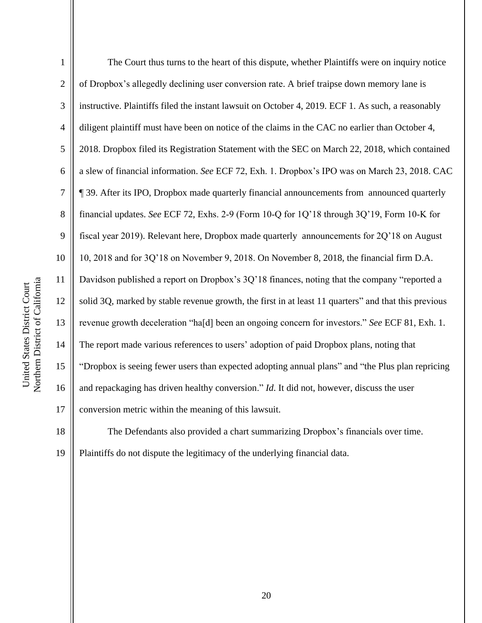| $\mathbf{1}$   | The Court thus turns to the heart of this dispute, whether Plaintiffs were on inquiry notice         |
|----------------|------------------------------------------------------------------------------------------------------|
| $\overline{2}$ | of Dropbox's allegedly declining user conversion rate. A brief traipse down memory lane is           |
| 3              | instructive. Plaintiffs filed the instant lawsuit on October 4, 2019. ECF 1. As such, a reasonably   |
| $\overline{4}$ | diligent plaintiff must have been on notice of the claims in the CAC no earlier than October 4,      |
| 5              | 2018. Dropbox filed its Registration Statement with the SEC on March 22, 2018, which contained       |
| 6              | a slew of financial information. See ECF 72, Exh. 1. Dropbox's IPO was on March 23, 2018. CAC        |
| $\overline{7}$ | ¶ 39. After its IPO, Dropbox made quarterly financial announcements from announced quarterly         |
| 8              | financial updates. See ECF 72, Exhs. 2-9 (Form 10-Q for 1Q'18 through 3Q'19, Form 10-K for           |
| 9              | fiscal year 2019). Relevant here, Dropbox made quarterly announcements for 2Q'18 on August           |
| 10             | 10, 2018 and for 3Q'18 on November 9, 2018. On November 8, 2018, the financial firm D.A.             |
| 11             | Davidson published a report on Dropbox's 3Q'18 finances, noting that the company "reported a         |
| 12             | solid 3Q, marked by stable revenue growth, the first in at least 11 quarters" and that this previous |
| 13             | revenue growth deceleration "ha[d] been an ongoing concern for investors." See ECF 81, Exh. 1.       |
| 14             | The report made various references to users' adoption of paid Dropbox plans, noting that             |
| 15             | "Dropbox is seeing fewer users than expected adopting annual plans" and "the Plus plan repricing     |
| 16             | and repackaging has driven healthy conversion." Id. It did not, however, discuss the user            |
| 17             | conversion metric within the meaning of this lawsuit.                                                |
|                |                                                                                                      |



18 The Defendants also provided a chart summarizing Dropbox's financials over time. Plaintiffs do not dispute the legitimacy of the underlying financial data.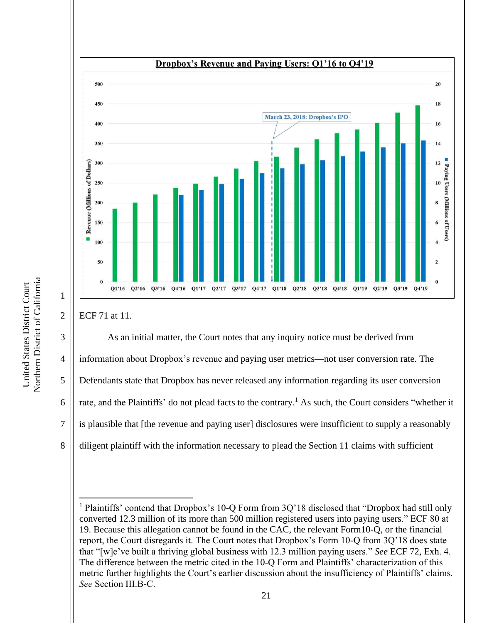

20

18

16

 $14$ 

 $12 \overline{ }$ 

10

 $\bf{8}$ 

Paying Users (Millions of Users)

3 As an initial matter, the Court notes that any inquiry notice must be derived from information about Dropbox's revenue and paying user metrics—not user conversion rate. The Defendants state that Dropbox has never released any information regarding its user conversion  $\parallel$  rate, and the Plaintiffs' do not plead facts to the contrary.<sup>1</sup> As such, the Court considers "whether it is plausible that [the revenue and paying user] disclosures were insufficient to supply a reasonably 8 diligent plaintiff with the information necessary to plead the Section 11 claims with sufficient

<sup>1</sup> Plaintiffs' contend that Dropbox's 10-Q Form from 3Q'18 disclosed that "Dropbox had still only converted 12.3 million of its more than 500 million registered users into paying users." ECF 80 at 19. Because this allegation cannot be found in the CAC, the relevant Form10-Q, or the financial report, the Court disregards it. The Court notes that Dropbox's Form 10-Q from 3Q'18 does state that "[w]e've built a thriving global business with 12.3 million paying users." *See* ECF 72, Exh. 4. The difference between the metric cited in the 10-Q Form and Plaintiffs' characterization of this metric further highlights the Court's earlier discussion about the insufficiency of Plaintiffs' claims. *See* Section III.B-C.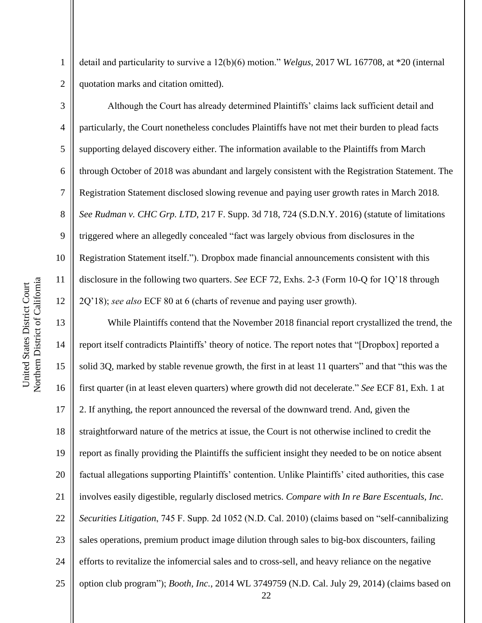1 detail and particularity to survive a 12(b)(6) motion." *Welgus*, 2017 WL 167708, at \*20 (internal 2 | quotation marks and citation omitted).

 Although the Court has already determined Plaintiffs' claims lack sufficient detail and particularly, the Court nonetheless concludes Plaintiffs have not met their burden to plead facts 5 Supporting delayed discovery either. The information available to the Plaintiffs from March through October of 2018 was abundant and largely consistent with the Registration Statement. The Registration Statement disclosed slowing revenue and paying user growth rates in March 2018*. See Rudman v. CHC Grp. LTD*, 217 F. Supp. 3d 718, 724 (S.D.N.Y. 2016) (statute of limitations 9 formulated where an allegedly concealed "fact was largely obvious from disclosures in the 10 | Registration Statement itself."). Dropbox made financial announcements consistent with this disclosure in the following two quarters. *See* ECF 72, Exhs. 2-3 (Form 10-Q for 1Q'18 through 2Q'18); *see also* ECF 80 at 6 (charts of revenue and paying user growth).

13 While Plaintiffs contend that the November 2018 financial report crystallized the trend, the 14 | report itself contradicts Plaintiffs' theory of notice. The report notes that "[Dropbox] reported a 15 | solid 3Q, marked by stable revenue growth, the first in at least 11 quarters" and that "this was the 16 first quarter (in at least eleven quarters) where growth did not decelerate." *See* ECF 81, Exh. 1 at 17 | 2. If anything, the report announced the reversal of the downward trend. And, given the 18 Straightforward nature of the metrics at issue, the Court is not otherwise inclined to credit the 19 report as finally providing the Plaintiffs the sufficient insight they needed to be on notice absent 20 || factual allegations supporting Plaintiffs' contention. Unlike Plaintiffs' cited authorities, this case 21 involves easily digestible, regularly disclosed metrics. *Compare with In re Bare Escentuals, Inc.*  22 *Securities Litigation*, 745 F. Supp. 2d 1052 (N.D. Cal. 2010) (claims based on "self-cannibalizing  $23$   $\parallel$  sales operations, premium product image dilution through sales to big-box discounters, failing 24 efforts to revitalize the infomercial sales and to cross-sell, and heavy reliance on the negative 25 | option club program"); *Booth, Inc.*, 2014 WL 3749759 (N.D. Cal. July 29, 2014) (claims based on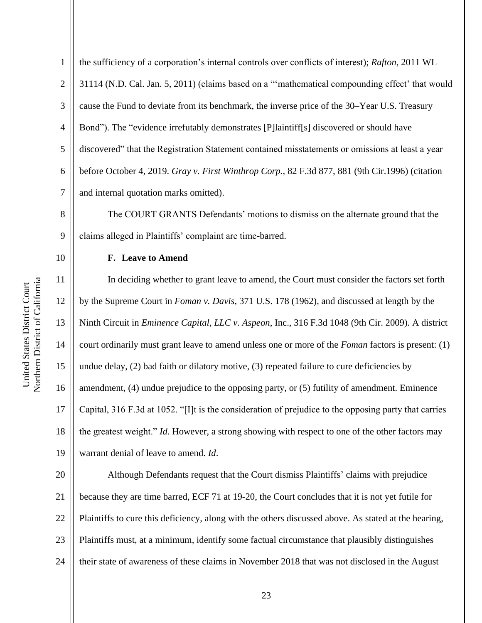1 the sufficiency of a corporation's internal controls over conflicts of interest); *Rafton*, 2011 WL 2 | 31114 (N.D. Cal. Jan. 5, 2011) (claims based on a "mathematical compounding effect' that would 3 cause the Fund to deviate from its benchmark, the inverse price of the 30–Year U.S. Treasury 4 Sond"). The "evidence irrefutably demonstrates [P]laintiff[s] discovered or should have 5 discovered" that the Registration Statement contained misstatements or omissions at least a year 6 before October 4, 2019. *Gray v. First Winthrop Corp.*, 82 F.3d 877, 881 (9th Cir.1996) (citation  $7 \parallel$  and internal quotation marks omitted).

8 The COURT GRANTS Defendants' motions to dismiss on the alternate ground that the 9 claims alleged in Plaintiffs' complaint are time-barred.

## 10 **F. Leave to Amend**

11 | In deciding whether to grant leave to amend, the Court must consider the factors set forth by the Supreme Court in *Foman v. Davis*, 371 U.S. 178 (1962), and discussed at length by the Ninth Circuit in *Eminence Capital, LLC v. Aspeon*, Inc., 316 F.3d 1048 (9th Cir. 2009). A district 14 court ordinarily must grant leave to amend unless one or more of the *Foman* factors is present: (1)  $\parallel$  undue delay, (2) bad faith or dilatory motive, (3) repeated failure to cure deficiencies by  $\parallel$  amendment, (4) undue prejudice to the opposing party, or (5) futility of amendment. Eminence Capital, 316 F.3d at 1052. "[I]t is the consideration of prejudice to the opposing party that carries 18 || the greatest weight." *Id*. However, a strong showing with respect to one of the other factors may warrant denial of leave to amend. *Id*.

20 Although Defendants request that the Court dismiss Plaintiffs' claims with prejudice 21 because they are time barred, ECF 71 at 19-20, the Court concludes that it is not yet futile for 22 | Plaintiffs to cure this deficiency, along with the others discussed above. As stated at the hearing, 23 | Plaintiffs must, at a minimum, identify some factual circumstance that plausibly distinguishes 24 | their state of awareness of these claims in November 2018 that was not disclosed in the August